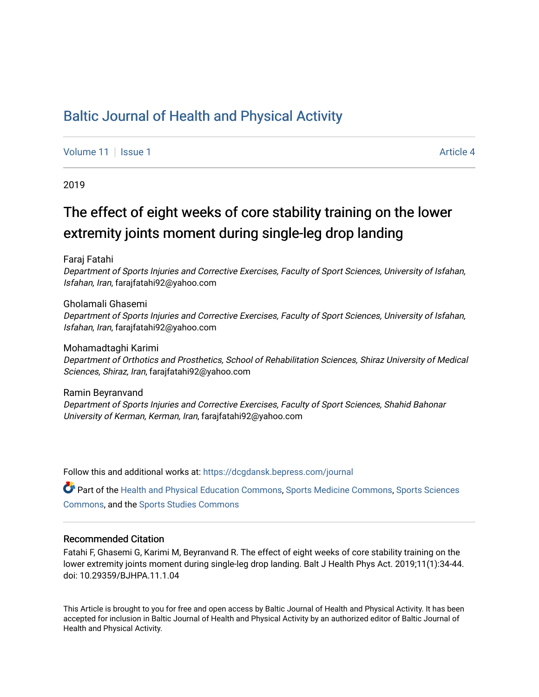## [Baltic Journal of Health and Physical Activity](https://dcgdansk.bepress.com/journal)

[Volume 11](https://dcgdansk.bepress.com/journal/vol11) | [Issue 1](https://dcgdansk.bepress.com/journal/vol11/iss1) Article 4

2019

# The effect of eight weeks of core stability training on the lower extremity joints moment during single-leg drop landing

Faraj Fatahi

Department of Sports Injuries and Corrective Exercises, Faculty of Sport Sciences, University of Isfahan, Isfahan, Iran, farajfatahi92@yahoo.com

Gholamali Ghasemi Department of Sports Injuries and Corrective Exercises, Faculty of Sport Sciences, University of Isfahan, Isfahan, Iran, farajfatahi92@yahoo.com

Mohamadtaghi Karimi Department of Orthotics and Prosthetics, School of Rehabilitation Sciences, Shiraz University of Medical Sciences, Shiraz, Iran, farajfatahi92@yahoo.com

Ramin Beyranvand Department of Sports Injuries and Corrective Exercises, Faculty of Sport Sciences, Shahid Bahonar University of Kerman, Kerman, Iran, farajfatahi92@yahoo.com

Follow this and additional works at: [https://dcgdansk.bepress.com/journal](https://dcgdansk.bepress.com/journal?utm_source=dcgdansk.bepress.com%2Fjournal%2Fvol11%2Fiss1%2F4&utm_medium=PDF&utm_campaign=PDFCoverPages)

Part of the [Health and Physical Education Commons](http://network.bepress.com/hgg/discipline/1327?utm_source=dcgdansk.bepress.com%2Fjournal%2Fvol11%2Fiss1%2F4&utm_medium=PDF&utm_campaign=PDFCoverPages), [Sports Medicine Commons,](http://network.bepress.com/hgg/discipline/1331?utm_source=dcgdansk.bepress.com%2Fjournal%2Fvol11%2Fiss1%2F4&utm_medium=PDF&utm_campaign=PDFCoverPages) [Sports Sciences](http://network.bepress.com/hgg/discipline/759?utm_source=dcgdansk.bepress.com%2Fjournal%2Fvol11%2Fiss1%2F4&utm_medium=PDF&utm_campaign=PDFCoverPages) [Commons](http://network.bepress.com/hgg/discipline/759?utm_source=dcgdansk.bepress.com%2Fjournal%2Fvol11%2Fiss1%2F4&utm_medium=PDF&utm_campaign=PDFCoverPages), and the [Sports Studies Commons](http://network.bepress.com/hgg/discipline/1198?utm_source=dcgdansk.bepress.com%2Fjournal%2Fvol11%2Fiss1%2F4&utm_medium=PDF&utm_campaign=PDFCoverPages) 

#### Recommended Citation

Fatahi F, Ghasemi G, Karimi M, Beyranvand R. The effect of eight weeks of core stability training on the lower extremity joints moment during single-leg drop landing. Balt J Health Phys Act. 2019;11(1):34-44. doi: 10.29359/BJHPA.11.1.04

This Article is brought to you for free and open access by Baltic Journal of Health and Physical Activity. It has been accepted for inclusion in Baltic Journal of Health and Physical Activity by an authorized editor of Baltic Journal of Health and Physical Activity.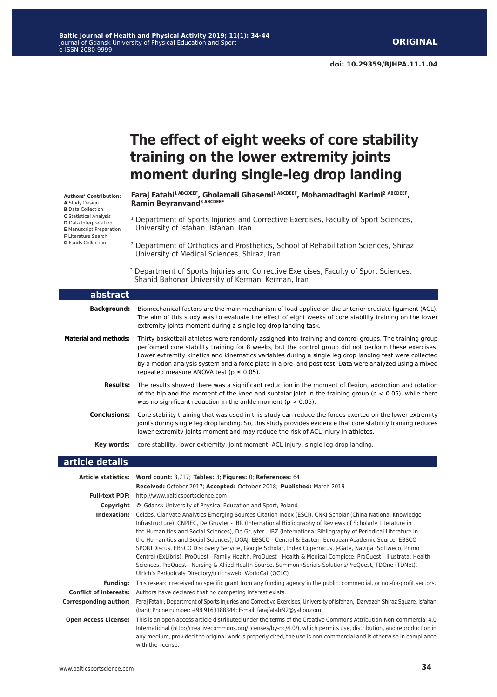**doi: 10.29359/BJHPA.11.1.04**

|                                                                                                                                                                                                                                                   | The effect of eight weeks of core stability<br>training on the lower extremity joints<br>moment during single-leg drop landing                                                                                                                                                                                                                                                                                                                                                                                                                                                                                                                                                                                                                                                                                                                                            |
|---------------------------------------------------------------------------------------------------------------------------------------------------------------------------------------------------------------------------------------------------|---------------------------------------------------------------------------------------------------------------------------------------------------------------------------------------------------------------------------------------------------------------------------------------------------------------------------------------------------------------------------------------------------------------------------------------------------------------------------------------------------------------------------------------------------------------------------------------------------------------------------------------------------------------------------------------------------------------------------------------------------------------------------------------------------------------------------------------------------------------------------|
| <b>Authors' Contribution:</b><br><b>A</b> Study Design<br><b>B</b> Data Collection<br><b>C</b> Statistical Analysis<br><b>D</b> Data Interpretation<br><b>E</b> Manuscript Preparation<br><b>F</b> Literature Search<br><b>G</b> Funds Collection | Faraj Fatahi <sup>1 ABCDEEF</sup> , Gholamali Ghasemi <sup>1 ABCDEEF</sup> , Mohamadtaghi Karimi <sup>2 ABCDEEF</sup> ,<br>Ramin Beyranvand <sup>3 ABCDEEF</sup>                                                                                                                                                                                                                                                                                                                                                                                                                                                                                                                                                                                                                                                                                                          |
|                                                                                                                                                                                                                                                   | <sup>1</sup> Department of Sports Injuries and Corrective Exercises, Faculty of Sport Sciences,<br>University of Isfahan, Isfahan, Iran                                                                                                                                                                                                                                                                                                                                                                                                                                                                                                                                                                                                                                                                                                                                   |
|                                                                                                                                                                                                                                                   | <sup>2</sup> Department of Orthotics and Prosthetics, School of Rehabilitation Sciences, Shiraz<br>University of Medical Sciences, Shiraz, Iran                                                                                                                                                                                                                                                                                                                                                                                                                                                                                                                                                                                                                                                                                                                           |
|                                                                                                                                                                                                                                                   | <sup>3</sup> Department of Sports Injuries and Corrective Exercises, Faculty of Sport Sciences,<br>Shahid Bahonar University of Kerman, Kerman, Iran                                                                                                                                                                                                                                                                                                                                                                                                                                                                                                                                                                                                                                                                                                                      |
| abstract                                                                                                                                                                                                                                          |                                                                                                                                                                                                                                                                                                                                                                                                                                                                                                                                                                                                                                                                                                                                                                                                                                                                           |
| <b>Background:</b>                                                                                                                                                                                                                                | Biomechanical factors are the main mechanism of load applied on the anterior cruciate ligament (ACL).<br>The aim of this study was to evaluate the effect of eight weeks of core stability training on the lower<br>extremity joints moment during a single leg drop landing task.                                                                                                                                                                                                                                                                                                                                                                                                                                                                                                                                                                                        |
| <b>Material and methods:</b>                                                                                                                                                                                                                      | Thirty basketball athletes were randomly assigned into training and control groups. The training group<br>performed core stability training for 8 weeks, but the control group did not perform these exercises.<br>Lower extremity kinetics and kinematics variables during a single leg drop landing test were collected<br>by a motion analysis system and a force plate in a pre- and post-test. Data were analyzed using a mixed<br>repeated measure ANOVA test ( $p \le 0.05$ ).                                                                                                                                                                                                                                                                                                                                                                                     |
| <b>Results:</b>                                                                                                                                                                                                                                   | The results showed there was a significant reduction in the moment of flexion, adduction and rotation<br>of the hip and the moment of the knee and subtalar joint in the training group ( $p < 0.05$ ), while there<br>was no significant reduction in the ankle moment ( $p > 0.05$ ).                                                                                                                                                                                                                                                                                                                                                                                                                                                                                                                                                                                   |
| <b>Conclusions:</b>                                                                                                                                                                                                                               | Core stability training that was used in this study can reduce the forces exerted on the lower extremity<br>joints during single leg drop landing. So, this study provides evidence that core stability training reduces<br>lower extremity joints moment and may reduce the risk of ACL injury in athletes.                                                                                                                                                                                                                                                                                                                                                                                                                                                                                                                                                              |
| Key words:                                                                                                                                                                                                                                        | core stability, lower extremity, joint moment, ACL injury, single leg drop landing.                                                                                                                                                                                                                                                                                                                                                                                                                                                                                                                                                                                                                                                                                                                                                                                       |
| article details                                                                                                                                                                                                                                   |                                                                                                                                                                                                                                                                                                                                                                                                                                                                                                                                                                                                                                                                                                                                                                                                                                                                           |
|                                                                                                                                                                                                                                                   | Article statistics: Word count: 3,717; Tables: 3; Figures: 0; References: 64<br>Received: October 2017; Accepted: October 2018; Published: March 2019                                                                                                                                                                                                                                                                                                                                                                                                                                                                                                                                                                                                                                                                                                                     |
|                                                                                                                                                                                                                                                   | <b>Full-text PDF:</b> http://www.balticsportscience.com                                                                                                                                                                                                                                                                                                                                                                                                                                                                                                                                                                                                                                                                                                                                                                                                                   |
|                                                                                                                                                                                                                                                   | <b>Copyright</b> © Gdansk University of Physical Education and Sport, Poland                                                                                                                                                                                                                                                                                                                                                                                                                                                                                                                                                                                                                                                                                                                                                                                              |
|                                                                                                                                                                                                                                                   | Indexation: Celdes, Clarivate Analytics Emerging Sources Citation Index (ESCI), CNKI Scholar (China National Knowledge<br>Infrastructure), CNPIEC, De Gruyter - IBR (International Bibliography of Reviews of Scholarly Literature in<br>the Humanities and Social Sciences), De Gruyter - IBZ (International Bibliography of Periodical Literature in<br>the Humanities and Social Sciences), DOAJ, EBSCO - Central & Eastern European Academic Source, EBSCO -<br>SPORTDiscus, EBSCO Discovery Service, Google Scholar, Index Copernicus, J-Gate, Naviga (Softweco, Primo<br>Central (ExLibris), ProQuest - Family Health, ProQuest - Health & Medical Complete, ProQuest - Illustrata: Health<br>Sciences, ProQuest - Nursing & Allied Health Source, Summon (Serials Solutions/ProQuest, TDOne (TDNet),<br>Ulrich's Periodicals Directory/ulrichsweb, WorldCat (OCLC) |
| <b>Funding:</b>                                                                                                                                                                                                                                   | This research received no specific grant from any funding agency in the public, commercial, or not-for-profit sectors.                                                                                                                                                                                                                                                                                                                                                                                                                                                                                                                                                                                                                                                                                                                                                    |

**Conflict of interests:** Authors have declared that no competing interest exists.

**Corresponding author:** Faraj Fatahi, Department of Sports Injuries and Corrective Exercises, University of Isfahan, Darvazeh Shiraz Square, Isfahan (Iran); Phone number: +98 9163188344; E-mail: farajfatahi92@yahoo.com.

**Open Access License:** This is an open access article distributed under the terms of the Creative Commons Attribution-Non-commercial 4.0 International (http://creativecommons.org/licenses/by-nc/4.0/), which permits use, distribution, and reproduction in any medium, provided the original work is properly cited, the use is non-commercial and is otherwise in compliance with the license.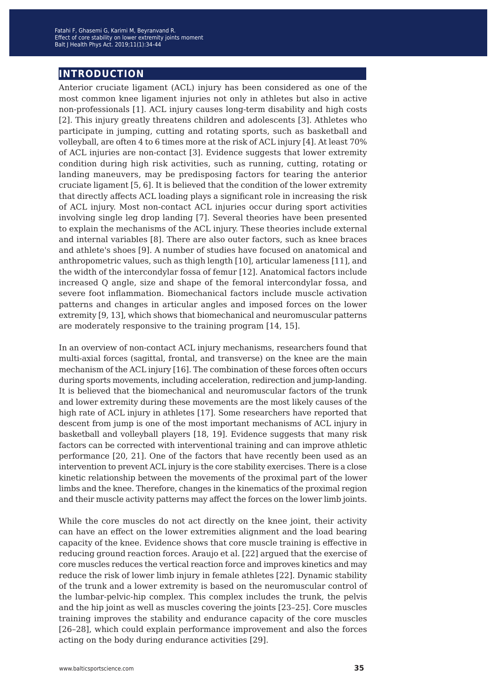## **introduction**

Anterior cruciate ligament (ACL) injury has been considered as one of the most common knee ligament injuries not only in athletes but also in active non-professionals [1]. ACL injury causes long-term disability and high costs [2]. This injury greatly threatens children and adolescents [3]. Athletes who participate in jumping, cutting and rotating sports, such as basketball and volleyball, are often 4 to 6 times more at the risk of ACL injury [4]. At least 70% of ACL injuries are non-contact [3]. Evidence suggests that lower extremity condition during high risk activities, such as running, cutting, rotating or landing maneuvers, may be predisposing factors for tearing the anterior cruciate ligament [5, 6]. It is believed that the condition of the lower extremity that directly affects ACL loading plays a significant role in increasing the risk of ACL injury. Most non-contact ACL injuries occur during sport activities involving single leg drop landing [7]. Several theories have been presented to explain the mechanisms of the ACL injury. These theories include external and internal variables [8]. There are also outer factors, such as knee braces and athlete's shoes [9]. A number of studies have focused on anatomical and anthropometric values, such as thigh length [10], articular lameness [11], and the width of the intercondylar fossa of femur [12]. Anatomical factors include increased Q angle, size and shape of the femoral intercondylar fossa, and severe foot inflammation. Biomechanical factors include muscle activation patterns and changes in articular angles and imposed forces on the lower extremity [9, 13], which shows that biomechanical and neuromuscular patterns are moderately responsive to the training program [14, 15].

In an overview of non-contact ACL injury mechanisms, researchers found that multi-axial forces (sagittal, frontal, and transverse) on the knee are the main mechanism of the ACL injury [16]. The combination of these forces often occurs during sports movements, including acceleration, redirection and jump-landing. It is believed that the biomechanical and neuromuscular factors of the trunk and lower extremity during these movements are the most likely causes of the high rate of ACL injury in athletes [17]. Some researchers have reported that descent from jump is one of the most important mechanisms of ACL injury in basketball and volleyball players [18, 19]. Evidence suggests that many risk factors can be corrected with interventional training and can improve athletic performance [20, 21]. One of the factors that have recently been used as an intervention to prevent ACL injury is the core stability exercises. There is a close kinetic relationship between the movements of the proximal part of the lower limbs and the knee. Therefore, changes in the kinematics of the proximal region and their muscle activity patterns may affect the forces on the lower limb joints.

While the core muscles do not act directly on the knee joint, their activity can have an effect on the lower extremities alignment and the load bearing capacity of the knee. Evidence shows that core muscle training is effective in reducing ground reaction forces. Araujo et al. [22] argued that the exercise of core muscles reduces the vertical reaction force and improves kinetics and may reduce the risk of lower limb injury in female athletes [22]. Dynamic stability of the trunk and a lower extremity is based on the neuromuscular control of the lumbar-pelvic-hip complex. This complex includes the trunk, the pelvis and the hip joint as well as muscles covering the joints [23–25]. Core muscles training improves the stability and endurance capacity of the core muscles [26–28], which could explain performance improvement and also the forces acting on the body during endurance activities [29].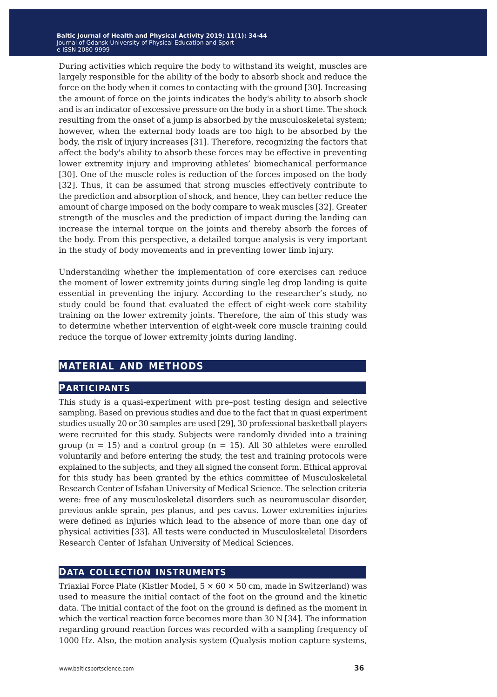During activities which require the body to withstand its weight, muscles are largely responsible for the ability of the body to absorb shock and reduce the force on the body when it comes to contacting with the ground [30]. Increasing the amount of force on the joints indicates the body's ability to absorb shock and is an indicator of excessive pressure on the body in a short time. The shock resulting from the onset of a jump is absorbed by the musculoskeletal system; however, when the external body loads are too high to be absorbed by the body, the risk of injury increases [31]. Therefore, recognizing the factors that affect the body's ability to absorb these forces may be effective in preventing lower extremity injury and improving athletes' biomechanical performance [30]. One of the muscle roles is reduction of the forces imposed on the body [32]. Thus, it can be assumed that strong muscles effectively contribute to the prediction and absorption of shock, and hence, they can better reduce the amount of charge imposed on the body compare to weak muscles [32]. Greater strength of the muscles and the prediction of impact during the landing can increase the internal torque on the joints and thereby absorb the forces of the body. From this perspective, a detailed torque analysis is very important in the study of body movements and in preventing lower limb injury.

Understanding whether the implementation of core exercises can reduce the moment of lower extremity joints during single leg drop landing is quite essential in preventing the injury. According to the researcher's study, no study could be found that evaluated the effect of eight-week core stability training on the lower extremity joints. Therefore, the aim of this study was to determine whether intervention of eight-week core muscle training could reduce the torque of lower extremity joints during landing.

## **material and methods**

### **participants**

This study is a quasi-experiment with pre–post testing design and selective sampling. Based on previous studies and due to the fact that in quasi experiment studies usually 20 or 30 samples are used [29], 30 professional basketball players were recruited for this study. Subjects were randomly divided into a training group ( $n = 15$ ) and a control group ( $n = 15$ ). All 30 athletes were enrolled voluntarily and before entering the study, the test and training protocols were explained to the subjects, and they all signed the consent form. Ethical approval for this study has been granted by the ethics committee of Musculoskeletal Research Center of Isfahan University of Medical Science. The selection criteria were: free of any musculoskeletal disorders such as neuromuscular disorder, previous ankle sprain, pes planus, and pes cavus. Lower extremities injuries were defined as injuries which lead to the absence of more than one day of physical activities [33]. All tests were conducted in Musculoskeletal Disorders Research Center of Isfahan University of Medical Sciences.

### **data collection instruments**

Triaxial Force Plate (Kistler Model,  $5 \times 60 \times 50$  cm, made in Switzerland) was used to measure the initial contact of the foot on the ground and the kinetic data. The initial contact of the foot on the ground is defined as the moment in which the vertical reaction force becomes more than 30 N [34]. The information regarding ground reaction forces was recorded with a sampling frequency of 1000 Hz. Also, the motion analysis system (Qualysis motion capture systems,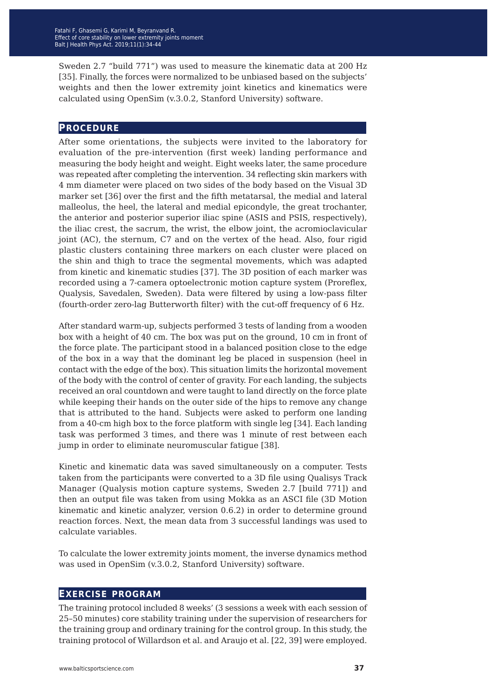Sweden 2.7 "build 771") was used to measure the kinematic data at 200 Hz [35]. Finally, the forces were normalized to be unbiased based on the subjects' weights and then the lower extremity joint kinetics and kinematics were calculated using OpenSim (v.3.0.2, Stanford University) software.

#### **procedure**

After some orientations, the subjects were invited to the laboratory for evaluation of the pre-intervention (first week) landing performance and measuring the body height and weight. Eight weeks later, the same procedure was repeated after completing the intervention. 34 reflecting skin markers with 4 mm diameter were placed on two sides of the body based on the Visual 3D marker set [36] over the first and the fifth metatarsal, the medial and lateral malleolus, the heel, the lateral and medial epicondyle, the great trochanter, the anterior and posterior superior iliac spine (ASIS and PSIS, respectively), the iliac crest, the sacrum, the wrist, the elbow joint, the acromioclavicular joint (AC), the sternum, C7 and on the vertex of the head. Also, four rigid plastic clusters containing three markers on each cluster were placed on the shin and thigh to trace the segmental movements, which was adapted from kinetic and kinematic studies [37]. The 3D position of each marker was recorded using a 7-camera optoelectronic motion capture system (Proreflex, Qualysis, Savedalen, Sweden). Data were filtered by using a low-pass filter (fourth-order zero-lag Butterworth filter) with the cut-off frequency of 6 Hz.

After standard warm-up, subjects performed 3 tests of landing from a wooden box with a height of 40 cm. The box was put on the ground, 10 cm in front of the force plate. The participant stood in a balanced position close to the edge of the box in a way that the dominant leg be placed in suspension (heel in contact with the edge of the box). This situation limits the horizontal movement of the body with the control of center of gravity. For each landing, the subjects received an oral countdown and were taught to land directly on the force plate while keeping their hands on the outer side of the hips to remove any change that is attributed to the hand. Subjects were asked to perform one landing from a 40-cm high box to the force platform with single leg [34]. Each landing task was performed 3 times, and there was 1 minute of rest between each jump in order to eliminate neuromuscular fatigue [38].

Kinetic and kinematic data was saved simultaneously on a computer. Tests taken from the participants were converted to a 3D file using Qualisys Track Manager (Qualysis motion capture systems, Sweden 2.7 [build 771]) and then an output file was taken from using Mokka as an ASCI file (3D Motion kinematic and kinetic analyzer, version 0.6.2) in order to determine ground reaction forces. Next, the mean data from 3 successful landings was used to calculate variables.

To calculate the lower extremity joints moment, the inverse dynamics method was used in OpenSim (v.3.0.2, Stanford University) software.

#### **exercise program**

The training protocol included 8 weeks' (3 sessions a week with each session of 25–50 minutes) core stability training under the supervision of researchers for the training group and ordinary training for the control group. In this study, the training protocol of Willardson et al. and Araujo et al. [22, 39] were employed.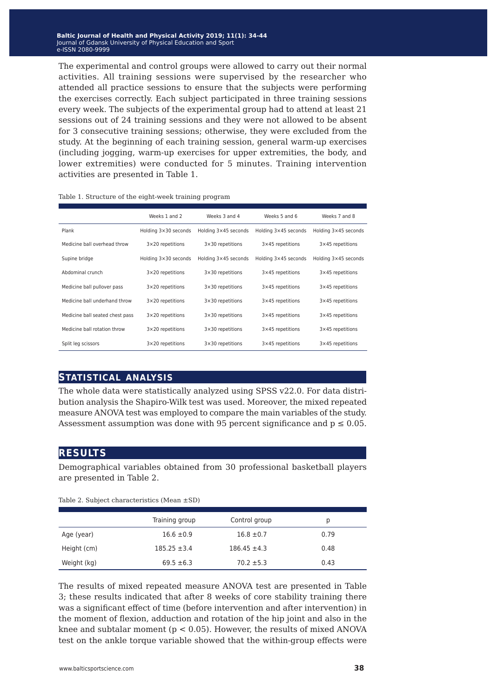The experimental and control groups were allowed to carry out their normal activities. All training sessions were supervised by the researcher who attended all practice sessions to ensure that the subjects were performing the exercises correctly. Each subject participated in three training sessions every week. The subjects of the experimental group had to attend at least 21 sessions out of 24 training sessions and they were not allowed to be absent for 3 consecutive training sessions; otherwise, they were excluded from the study. At the beginning of each training session, general warm-up exercises (including jogging, warm-up exercises for upper extremities, the body, and lower extremities) were conducted for 5 minutes. Training intervention activities are presented in Table 1.

|                                 | Weeks 1 and 2        | Weeks 3 and 4           | Weeks 5 and 6        | Weeks 7 and 8        |
|---------------------------------|----------------------|-------------------------|----------------------|----------------------|
| Plank                           | Holding 3×30 seconds | Holding 3×45 seconds    | Holding 3×45 seconds | Holding 3×45 seconds |
| Medicine ball overhead throw    | 3×20 repetitions     | $3\times30$ repetitions | 3×45 repetitions     | 3×45 repetitions     |
| Supine bridge                   | Holding 3×30 seconds | Holding 3×45 seconds    | Holding 3×45 seconds | Holding 3×45 seconds |
| Abdominal crunch                | 3×20 repetitions     | 3×30 repetitions        | 3×45 repetitions     | 3×45 repetitions     |
| Medicine ball pullover pass     | 3×20 repetitions     | 3×30 repetitions        | 3×45 repetitions     | 3×45 repetitions     |
| Medicine ball underhand throw   | 3×20 repetitions     | 3×30 repetitions        | 3×45 repetitions     | 3×45 repetitions     |
| Medicine ball seated chest pass | 3×20 repetitions     | 3×30 repetitions        | 3×45 repetitions     | 3×45 repetitions     |
| Medicine ball rotation throw    | 3×20 repetitions     | 3×30 repetitions        | 3×45 repetitions     | 3×45 repetitions     |
| Split leg scissors              | 3×20 repetitions     | 3×30 repetitions        | 3×45 repetitions     | 3×45 repetitions     |

Table 1. Structure of the eight-week training program

### **statistical analysis**

The whole data were statistically analyzed using SPSS v22.0. For data distribution analysis the Shapiro-Wilk test was used. Moreover, the mixed repeated measure ANOVA test was employed to compare the main variables of the study. Assessment assumption was done with 95 percent significance and  $p \le 0.05$ .

### **results**

Demographical variables obtained from 30 professional basketball players are presented in Table 2.

|             | Training group   | Control group    | р    |
|-------------|------------------|------------------|------|
| Age (year)  | $16.6 \pm 0.9$   | $16.8 \pm 0.7$   | 0.79 |
| Height (cm) | $185.25 \pm 3.4$ | $186.45 \pm 4.3$ | 0.48 |
| Weight (kg) | $69.5 \pm 6.3$   | $70.2 \pm 5.3$   | 0.43 |

Table 2. Subject characteristics (Mean ±SD)

The results of mixed repeated measure ANOVA test are presented in Table 3; these results indicated that after 8 weeks of core stability training there was a significant effect of time (before intervention and after intervention) in the moment of flexion, adduction and rotation of the hip joint and also in the knee and subtalar moment ( $p < 0.05$ ). However, the results of mixed ANOVA test on the ankle torque variable showed that the within-group effects were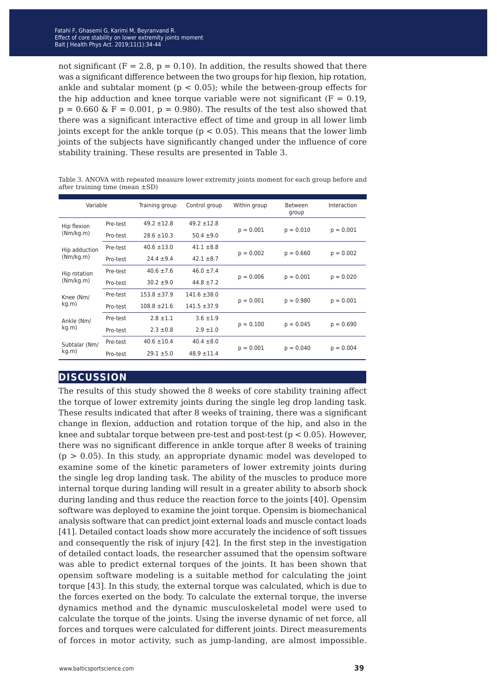not significant ( $F = 2.8$ ,  $p = 0.10$ ). In addition, the results showed that there was a significant difference between the two groups for hip flexion, hip rotation, ankle and subtalar moment ( $p < 0.05$ ); while the between-group effects for the hip adduction and knee torque variable were not significant ( $F = 0.19$ ,  $p = 0.660 \& F = 0.001$ ,  $p = 0.980$ . The results of the test also showed that there was a significant interactive effect of time and group in all lower limb joints except for the ankle torque ( $p < 0.05$ ). This means that the lower limb joints of the subjects have significantly changed under the influence of core stability training. These results are presented in Table 3.

Table 3. ANOVA with repeated measure lower extremity joints moment for each group before and after training time (mean ±SD)

| Variable                   |          | Training group   | Control group    | Within group | Between<br>group | Interaction |
|----------------------------|----------|------------------|------------------|--------------|------------------|-------------|
| Hip flexion<br>(Nm/kg.m)   | Pre-test | $49.2 \pm 12.8$  | $49.2 \pm 12.8$  | $p = 0.001$  | $p = 0.010$      | $p = 0.001$ |
|                            | Pro-test | $28.6 \pm 10.3$  | $50.4 \pm 9.0$   |              |                  |             |
| Hip adduction<br>(Nm/kg.m) | Pre-test | $40.6 \pm 13.0$  | $41.1 \pm 8.8$   | $p = 0.002$  |                  | $p = 0.002$ |
|                            | Pro-test | $24.4 \pm 9.4$   | $42.1 \pm 8.7$   |              | $p = 0.660$      |             |
| Hip rotation<br>(Nm/kg.m)  | Pre-test | $40.6 \pm 7.6$   | $46.0 \pm 7.4$   | $p = 0.006$  |                  |             |
|                            | Pro-test | $30.2 \pm 9.0$   | $44.8 \pm 7.2$   |              | $p = 0.001$      | $p = 0.020$ |
| Knee (Nm/<br>kg.m)         | Pre-test | $153.8 \pm 37.9$ | $141.6 \pm 38.0$ |              | $p = 0.980$      | $p = 0.001$ |
|                            | Pro-test | $108.8 + 21.6$   | $141.5 \pm 37.9$ | $p = 0.001$  |                  |             |
| Ankle (Nm/<br>kg.m)        | Pre-test | $2.8 \pm 1.1$    | $3.6 \pm 1.9$    |              | $p = 0.045$      | $p = 0.690$ |
|                            | Pro-test | $2.3 \pm 0.8$    | $2.9 \pm 1.0$    | $p = 0.100$  |                  |             |
| Subtalar (Nm/<br>kg.m)     | Pre-test | $40.6 \pm 10.4$  | $40.4 \pm 8.0$   |              | $p = 0.040$      | $p = 0.004$ |
|                            | Pro-test | $29.1 \pm 5.0$   | $48.9 \pm 11.4$  | $p = 0.001$  |                  |             |

## **discussion**

The results of this study showed the 8 weeks of core stability training affect the torque of lower extremity joints during the single leg drop landing task. These results indicated that after 8 weeks of training, there was a significant change in flexion, adduction and rotation torque of the hip, and also in the knee and subtalar torque between pre-test and post-test (p < 0.05). However, there was no significant difference in ankle torque after 8 weeks of training  $(p > 0.05)$ . In this study, an appropriate dynamic model was developed to examine some of the kinetic parameters of lower extremity joints during the single leg drop landing task. The ability of the muscles to produce more internal torque during landing will result in a greater ability to absorb shock during landing and thus reduce the reaction force to the joints [40]. Opensim software was deployed to examine the joint torque. Opensim is biomechanical analysis software that can predict joint external loads and muscle contact loads [41]. Detailed contact loads show more accurately the incidence of soft tissues and consequently the risk of injury [42]. In the first step in the investigation of detailed contact loads, the researcher assumed that the opensim software was able to predict external torques of the joints. It has been shown that opensim software modeling is a suitable method for calculating the joint torque [43]. In this study, the external torque was calculated, which is due to the forces exerted on the body. To calculate the external torque, the inverse dynamics method and the dynamic musculoskeletal model were used to calculate the torque of the joints. Using the inverse dynamic of net force, all forces and torques were calculated for different joints. Direct measurements of forces in motor activity, such as jump-landing, are almost impossible.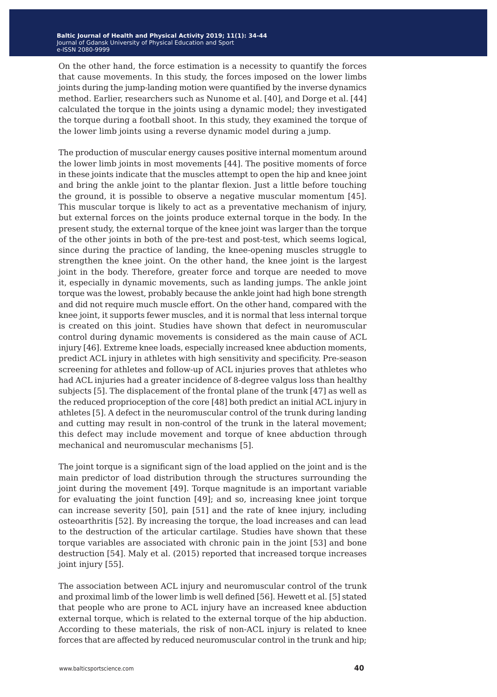On the other hand, the force estimation is a necessity to quantify the forces that cause movements. In this study, the forces imposed on the lower limbs joints during the jump-landing motion were quantified by the inverse dynamics method. Earlier, researchers such as Nunome et al. [40], and Dorge et al. [44] calculated the torque in the joints using a dynamic model; they investigated the torque during a football shoot. In this study, they examined the torque of the lower limb joints using a reverse dynamic model during a jump.

The production of muscular energy causes positive internal momentum around the lower limb joints in most movements [44]. The positive moments of force in these joints indicate that the muscles attempt to open the hip and knee joint and bring the ankle joint to the plantar flexion. Just a little before touching the ground, it is possible to observe a negative muscular momentum [45]. This muscular torque is likely to act as a preventative mechanism of injury, but external forces on the joints produce external torque in the body. In the present study, the external torque of the knee joint was larger than the torque of the other joints in both of the pre-test and post-test, which seems logical, since during the practice of landing, the knee-opening muscles struggle to strengthen the knee joint. On the other hand, the knee joint is the largest joint in the body. Therefore, greater force and torque are needed to move it, especially in dynamic movements, such as landing jumps. The ankle joint torque was the lowest, probably because the ankle joint had high bone strength and did not require much muscle effort. On the other hand, compared with the knee joint, it supports fewer muscles, and it is normal that less internal torque is created on this joint. Studies have shown that defect in neuromuscular control during dynamic movements is considered as the main cause of ACL injury [46]. Extreme knee loads, especially increased knee abduction moments, predict ACL injury in athletes with high sensitivity and specificity. Pre-season screening for athletes and follow-up of ACL injuries proves that athletes who had ACL injuries had a greater incidence of 8-degree valgus loss than healthy subjects [5]. The displacement of the frontal plane of the trunk [47] as well as the reduced proprioception of the core [48] both predict an initial ACL injury in athletes [5]. A defect in the neuromuscular control of the trunk during landing and cutting may result in non-control of the trunk in the lateral movement; this defect may include movement and torque of knee abduction through mechanical and neuromuscular mechanisms [5].

The joint torque is a significant sign of the load applied on the joint and is the main predictor of load distribution through the structures surrounding the joint during the movement [49]. Torque magnitude is an important variable for evaluating the joint function [49]; and so, increasing knee joint torque can increase severity [50], pain [51] and the rate of knee injury, including osteoarthritis [52]. By increasing the torque, the load increases and can lead to the destruction of the articular cartilage. Studies have shown that these torque variables are associated with chronic pain in the joint [53] and bone destruction [54]. Maly et al. (2015) reported that increased torque increases joint injury [55].

The association between ACL injury and neuromuscular control of the trunk and proximal limb of the lower limb is well defined [56]. Hewett et al. [5] stated that people who are prone to ACL injury have an increased knee abduction external torque, which is related to the external torque of the hip abduction. According to these materials, the risk of non-ACL injury is related to knee forces that are affected by reduced neuromuscular control in the trunk and hip;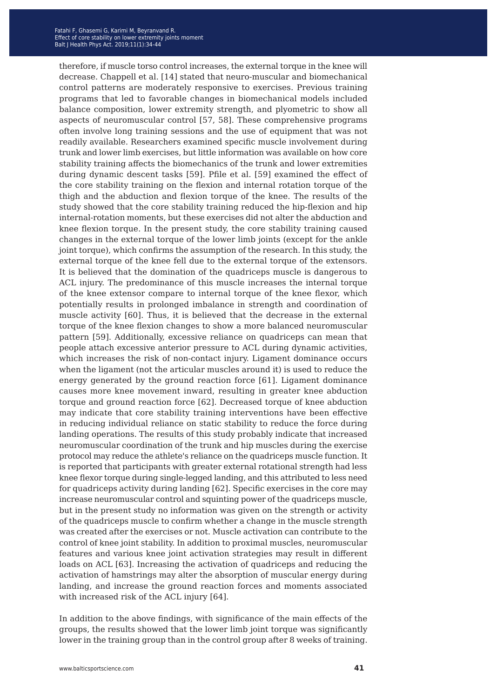therefore, if muscle torso control increases, the external torque in the knee will decrease. Chappell et al. [14] stated that neuro-muscular and biomechanical control patterns are moderately responsive to exercises. Previous training programs that led to favorable changes in biomechanical models included balance composition, lower extremity strength, and plyometric to show all aspects of neuromuscular control [57, 58]. These comprehensive programs often involve long training sessions and the use of equipment that was not readily available. Researchers examined specific muscle involvement during trunk and lower limb exercises, but little information was available on how core stability training affects the biomechanics of the trunk and lower extremities during dynamic descent tasks [59]. Pfile et al. [59] examined the effect of the core stability training on the flexion and internal rotation torque of the thigh and the abduction and flexion torque of the knee. The results of the study showed that the core stability training reduced the hip-flexion and hip internal-rotation moments, but these exercises did not alter the abduction and knee flexion torque. In the present study, the core stability training caused changes in the external torque of the lower limb joints (except for the ankle joint torque), which confirms the assumption of the research. In this study, the external torque of the knee fell due to the external torque of the extensors. It is believed that the domination of the quadriceps muscle is dangerous to ACL injury. The predominance of this muscle increases the internal torque of the knee extensor compare to internal torque of the knee flexor, which potentially results in prolonged imbalance in strength and coordination of muscle activity [60]. Thus, it is believed that the decrease in the external torque of the knee flexion changes to show a more balanced neuromuscular pattern [59]. Additionally, excessive reliance on quadriceps can mean that people attach excessive anterior pressure to ACL during dynamic activities, which increases the risk of non-contact injury. Ligament dominance occurs when the ligament (not the articular muscles around it) is used to reduce the energy generated by the ground reaction force [61]. Ligament dominance causes more knee movement inward, resulting in greater knee abduction torque and ground reaction force [62]. Decreased torque of knee abduction may indicate that core stability training interventions have been effective in reducing individual reliance on static stability to reduce the force during landing operations. The results of this study probably indicate that increased neuromuscular coordination of the trunk and hip muscles during the exercise protocol may reduce the athlete's reliance on the quadriceps muscle function. It is reported that participants with greater external rotational strength had less knee flexor torque during single-legged landing, and this attributed to less need for quadriceps activity during landing [62]. Specific exercises in the core may increase neuromuscular control and squinting power of the quadriceps muscle, but in the present study no information was given on the strength or activity of the quadriceps muscle to confirm whether a change in the muscle strength was created after the exercises or not. Muscle activation can contribute to the control of knee joint stability. In addition to proximal muscles, neuromuscular features and various knee joint activation strategies may result in different loads on ACL [63]. Increasing the activation of quadriceps and reducing the activation of hamstrings may alter the absorption of muscular energy during landing, and increase the ground reaction forces and moments associated with increased risk of the ACL injury [64].

In addition to the above findings, with significance of the main effects of the groups, the results showed that the lower limb joint torque was significantly lower in the training group than in the control group after 8 weeks of training.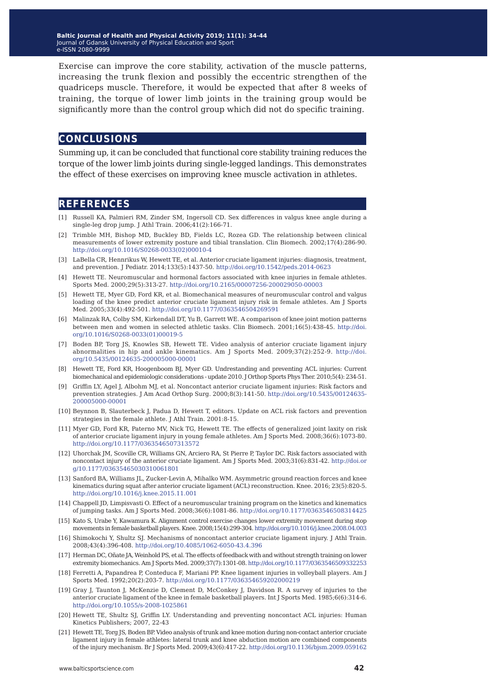Exercise can improve the core stability, activation of the muscle patterns, increasing the trunk flexion and possibly the eccentric strengthen of the quadriceps muscle. Therefore, it would be expected that after 8 weeks of training, the torque of lower limb joints in the training group would be significantly more than the control group which did not do specific training.

## **conclusions**

Summing up, it can be concluded that functional core stability training reduces the torque of the lower limb joints during single-legged landings. This demonstrates the effect of these exercises on improving knee muscle activation in athletes.

### **references**

- [1] Russell KA, Palmieri RM, Zinder SM, Ingersoll CD. Sex differences in valgus knee angle during a single-leg drop jump. J Athl Train. 2006;41(2):166-71.
- [2] Trimble MH, Bishop MD, Buckley BD, Fields LC, Rozea GD. The relationship between clinical measurements of lower extremity posture and tibial translation. Clin Biomech. 2002;17(4):286-90. [http://doi.org/10.1016/S0268-0033\(02\)00010-4](http://doi.org/10.1016/S0268-0033(02)00010-4)
- [3] LaBella CR, Hennrikus W, Hewett TE, et al. Anterior cruciate ligament injuries: diagnosis, treatment, and prevention. J Pediatr. 2014;133(5):1437-50. <http://doi.org/10.1542/peds.2014-0623>
- [4] Hewett TE. Neuromuscular and hormonal factors associated with knee injuries in female athletes. Sports Med. 2000;29(5):313-27.<http://doi.org/10.2165/00007256-200029050-00003>
- [5] Hewett TE, Myer GD, Ford KR, et al. Biomechanical measures of neuromuscular control and valgus loading of the knee predict anterior cruciate ligament injury risk in female athletes. Am J Sports Med. 2005;33(4):492-501.<http://doi.org/10.1177/0363546504269591>
- [6] Malinzak RA, Colby SM, Kirkendall DT, Yu B, Garrett WE. A comparison of knee joint motion patterns between men and women in selected athletic tasks. Clin Biomech. 2001;16(5):438-45[.](http://doi.org/10.1016/S0268-0033(01)00019-5) [http://doi.](http://doi.org/10.1016/S0268-0033(01)00019-5) [org/10.1016/S0268-0033\(01\)00019-5](http://doi.org/10.1016/S0268-0033(01)00019-5)
- [7] Boden BP, Torg JS, Knowles SB, Hewett TE. Video analysis of anterior cruciate ligament injury abnormalities in hip and ankle kinematics. Am J Sports Med. 2009;37(2):252-9. [http://doi.](http://doi.org/10.5435/00124635-200005000-00001) [org/10.5435/00124635-200005000-00001](http://doi.org/10.5435/00124635-200005000-00001)
- [8] Hewett TE, Ford KR, Hoogenboom BJ, Myer GD. Undrestanding and preventing ACL injuries: Current biomechanical and epidemiologic considerations - update 2010. J Orthop Sports Phys Ther. 2010;5(4): 234-51.
- [9] Griffin LY, Agel J, Albohm MJ, et al. Noncontact anterior cruciate ligament injuries: Risk factors and prevention strategies. J Am Acad Orthop Surg. 2000;8(3):141-50. [http://doi.org/10.5435/00124635-](http://doi.org/10.5435/00124635-200005000-00001) [200005000-00001](http://doi.org/10.5435/00124635-200005000-00001)
- [10] Beynnon B, Slauterbeck J, Padua D, Hewett T, editors. Update on ACL risk factors and prevention strategies in the female athlete. J Athl Train. 2001:8-15.
- [11] Myer GD, Ford KR, Paterno MV, Nick TG, Hewett TE. The effects of generalized joint laxity on risk of anterior cruciate ligament injury in young female athletes. Am J Sports Med. 2008;36(6):1073-80. <http://doi.org/10.1177/0363546507313572>
- [12] Uhorchak JM, Scoville CR, Williams GN, Arciero RA, St Pierre P, Taylor DC. Risk factors associated with noncontact injury of the anterior cruciate ligament. Am J Sports Med. 2003;31(6):831-42. [http://doi.or](http://doi.org/10.1177/03635465030310061801) [g/10.1177/03635465030310061801](http://doi.org/10.1177/03635465030310061801)
- [13] Sanford BA, Williams JL, Zucker-Levin A, Mihalko WM. Asymmetric ground reaction forces and knee kinematics during squat after anterior cruciate ligament (ACL) reconstruction. Knee. 2016; 23(5):820-5. <http://doi.org/10.1016/j.knee.2015.11.001>
- [14] Chappell JD, Limpisvasti O. Effect of a neuromuscular training program on the kinetics and kinematics of jumping tasks. Am J Sports Med. 2008;36(6):1081-86. <http://doi.org/10.1177/0363546508314425>
- [15] Kato S, Urabe Y, Kawamura K. Alignment control exercise changes lower extremity movement during stop movements in female basketball players. Knee. 2008;15(4):299-304.<http://doi.org/10.1016/j.knee.2008.04.003>
- [16] Shimokochi Y, Shultz SJ. Mechanisms of noncontact anterior cruciate ligament injury. J Athl Train. 2008;43(4):396-408. <http://doi.org/10.4085/1062-6050-43.4.396>
- [17] Herman DC, Oñate JA, Weinhold PS, et al. The effects of feedback with and without strength training on lower extremity biomechanics. Am J Sports Med. 2009;37(7):1301-08. <http://doi.org/10.1177/0363546509332253>
- [18] Ferretti A, Papandrea P, Conteduca F, Mariani PP. Knee ligament injuries in volleyball players. Am J Sports Med. 1992;20(2):203-7. <http://doi.org/10.1177/036354659202000219>
- [19] Gray J, Taunton J, McKenzie D, Clement D, McConkey J, Davidson R. A survey of injuries to the anterior cruciate ligament of the knee in female basketball players. Int J Sports Med. 1985;6(6):314-6. <http://doi.org/10.1055/s-2008-1025861>
- [20] Hewett TE, Shultz SJ, Griffin LY. Understanding and preventing noncontact ACL injuries: Human Kinetics Publishers; 2007, 22-43
- [21] Hewett TE, Torg JS, Boden BP. Video analysis of trunk and knee motion during non-contact anterior cruciate ligament injury in female athletes: lateral trunk and knee abduction motion are combined components of the injury mechanism. Br J Sports Med. 2009;43(6):417-22. <http://doi.org/10.1136/bjsm.2009.059162>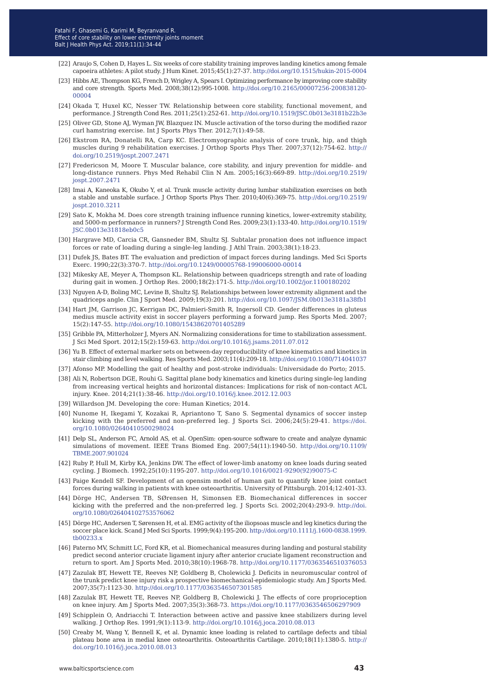- [22] Araujo S, Cohen D, Hayes L. Six weeks of core stability training improves landing kinetics among female capoeira athletes: A pilot study. J Hum Kinet. 2015;45(1):27-37. <http://doi.org/10.1515/hukin-2015-0004>
- [23] Hibbs AE, Thompson KG, French D, Wrigley A, Spears I. Optimizing performance by improving core stability and core strength. Sports Med. 2008;38(12):995-1008. [http://doi.org/10.2165/00007256-200838120-](http://doi.org/10.2165/00007256-200838120-00004) [00004](http://doi.org/10.2165/00007256-200838120-00004)
- [24] Okada T, Huxel KC, Nesser TW. Relationship between core stability, functional movement, and performance. J Strength Cond Res. 2011;25(1):252-61.<http://doi.org/10.1519/JSC.0b013e3181b22b3e>
- [25] Oliver GD, Stone AJ, Wyman JW, Blazquez IN. Muscle activation of the torso during the modified razor curl hamstring exercise. Int J Sports Phys Ther. 2012;7(1):49-58.
- [26] Ekstrom RA, Donatelli RA, Carp KC. Electromyographic analysis of core trunk, hip, and thigh muscles during 9 rehabilitation exercises. J Orthop Sports Phys Ther. 2007;37(12):754-62. [http://](http://doi.org/10.2519/jospt.2007.2471) [doi.org/10.2519/jospt.2007.2471](http://doi.org/10.2519/jospt.2007.2471)
- [27] Fredericson M, Moore T. Muscular balance, core stability, and injury prevention for middle- and long-distance runners. Phys Med Rehabil Clin N Am. 2005;16(3):669-89. [http://doi.org/10.2519/](http://doi.org/10.2519/jospt.2007.2471) [jospt.2007.2471](http://doi.org/10.2519/jospt.2007.2471)
- [28] Imai A, Kaneoka K, Okubo Y, et al. Trunk muscle activity during lumbar stabilization exercises on both a stable and unstable surface. J Orthop Sports Phys Ther. 2010;40(6):369-75. [http://doi.org/10.2519/](http://doi.org/10.2519/jospt.2010.3211) [jospt.2010.3211](http://doi.org/10.2519/jospt.2010.3211)
- [29] Sato K, Mokha M. Does core strength training influence running kinetics, lower-extremity stability, and 5000-m performance in runners? J Strength Cond Res. 2009;23(1):133-40. [http://doi.org/10.1519/](http://doi.org/10.1519/JSC.0b013e31818eb0c5) [JSC.0b013e31818eb0c5](http://doi.org/10.1519/JSC.0b013e31818eb0c5)
- [30] Hargrave MD, Carcia CR, Gansneder BM, Shultz SJ. Subtalar pronation does not influence impact forces or rate of loading during a single-leg landing. J Athl Train. 2003;38(1):18-23.
- [31] Dufek JS, Bates BT. The evaluation and prediction of impact forces during landings. Med Sci Sports Exerc. 1990;22(3):370-7.<http://doi.org/10.1249/00005768-199006000-00014>
- [32] Mikesky AE, Meyer A, Thompson KL. Relationship between quadriceps strength and rate of loading during gait in women. J Orthop Res. 2000;18(2):171-5. <http://doi.org/10.1002/jor.1100180202>
- [33] Nguyen A-D, Boling MC, Levine B, Shultz SJ. Relationships between lower extremity alignment and the quadriceps angle. Clin J Sport Med. 2009;19(3):201.<http://doi.org/10.1097/JSM.0b013e3181a38fb1>
- [34] Hart JM, Garrison JC, Kerrigan DC, Palmieri-Smith R, Ingersoll CD. Gender differences in gluteus medius muscle activity exist in soccer players performing a forward jump. Res Sports Med. 2007; 15(2):147-55.<http://doi.org/10.1080/15438620701405289>
- [35] Gribble PA, Mitterholzer J, Myers AN. Normalizing considerations for time to stabilization assessment. J Sci Med Sport. 2012;15(2):159-63. <http://doi.org/10.1016/j.jsams.2011.07.012>
- [36] Yu B. Effect of external marker sets on between-day reproducibility of knee kinematics and kinetics in stair climbing and level walking. Res Sports Med. 2003;11(4):209-18.<http://doi.org/10.1080/714041037>
- [37] Afonso MP. Modelling the gait of healthy and post-stroke individuals: Universidade do Porto; 2015.
- [38] Ali N, Robertson DGE, Rouhi G. Sagittal plane body kinematics and kinetics during single-leg landing from increasing vertical heights and horizontal distances: Implications for risk of non-contact ACL injury. Knee. 2014;21(1):38-46. <http://doi.org/10.1016/j.knee.2012.12.003>
- [39] Willardson JM. Developing the core: Human Kinetics; 2014.
- [40] Nunome H, Ikegami Y, Kozakai R, Apriantono T, Sano S. Segmental dynamics of soccer instep kicking with the preferred and non-preferred leg. J Sports Sci. 2006;24(5):29-41. [https://doi.](https://doi.org/10.1080/02640410500298024) [org/10.1080/02640410500298024](https://doi.org/10.1080/02640410500298024)
- [41] Delp SL, Anderson FC, Arnold AS, et al. OpenSim: open-source software to create and analyze dynamic simulations of movement. IEEE Trans Biomed Eng. 2007;54(11):1940-50. [http://doi.org/10.1109/](http://doi.org/10.1109/TBME.2007.901024) [TBME.2007.901024](http://doi.org/10.1109/TBME.2007.901024)
- [42] Ruby P, Hull M, Kirby KA, Jenkins DW. The effect of lower-limb anatomy on knee loads during seated cycling. J Biomech. 1992;25(10):1195-207. [http://doi.org/10.1016/0021-9290\(92\)90075-C](http://doi.org/10.1016/0021-9290(92)90075-C)
- [43] Paige Kendell SF. Development of an opensim model of human gait to quantify knee joint contact forces during walking in patients with knee osteoarthritis. University of Pittsburgh. 2014;12:401-33.
- [44] Dörge HC, Andersen TB, SØrensen H, Simonsen EB. Biomechanical differences in soccer kicking with the preferred and the non-preferred leg. J Sports Sci. 2002;20(4):293-9. [http://doi.](http://doi.org/10.1080/026404102753576062) [org/10.1080/026404102753576062](http://doi.org/10.1080/026404102753576062)
- [45] Dörge HC, Andersen T, Sørensen H, et al. EMG activity of the iliopsoas muscle and leg kinetics during the soccer place kick. Scand J Med Sci Sports. 1999;9(4):195-200. [http://doi.org/10.1111/j.1600-0838.1999.](http://doi.org/10.1111/j.1600-0838.1999.tb00233.x) [tb00233.x](http://doi.org/10.1111/j.1600-0838.1999.tb00233.x)
- [46] Paterno MV, Schmitt LC, Ford KR, et al. Biomechanical measures during landing and postural stability predict second anterior cruciate ligament injury after anterior cruciate ligament reconstruction and return to sport. Am J Sports Med. 2010;38(10):1968-78. <http://doi.org/10.1177/0363546510376053>
- [47] Zazulak BT, Hewett TE, Reeves NP, Goldberg B, Cholewicki J. Deficits in neuromuscular control of the trunk predict knee injury risk a prospective biomechanical-epidemiologic study. Am J Sports Med. 2007;35(7):1123-30.<http://doi.org/10.1177/0363546507301585>
- [48] Zazulak BT, Hewett TE, Reeves NP, Goldberg B, Cholewicki J. The effects of core proprioception on knee injury. Am J Sports Med. 2007;35(3):368-73. <https://doi.org/10.1177/0363546506297909>
- [49] Schipplein O, Andriacchi T. Interaction between active and passive knee stabilizers during level walking. J Orthop Res. 1991;9(1):113-9. <http://doi.org/10.1016/j.joca.2010.08.013>
- [50] Creaby M, Wang Y, Bennell K, et al. Dynamic knee loading is related to cartilage defects and tibial plateau bone area in medial knee o[s](http://doi.org/10.1016/j.joca.2010.08.013)teoarthritis. Osteoarthritis Cartilage. 2010;18(11):1380-5. [http://](http://doi.org/10.1016/j.joca.2010.08.013) [doi.org/10.1016/j.joca.2010.08.013](http://doi.org/10.1016/j.joca.2010.08.013)